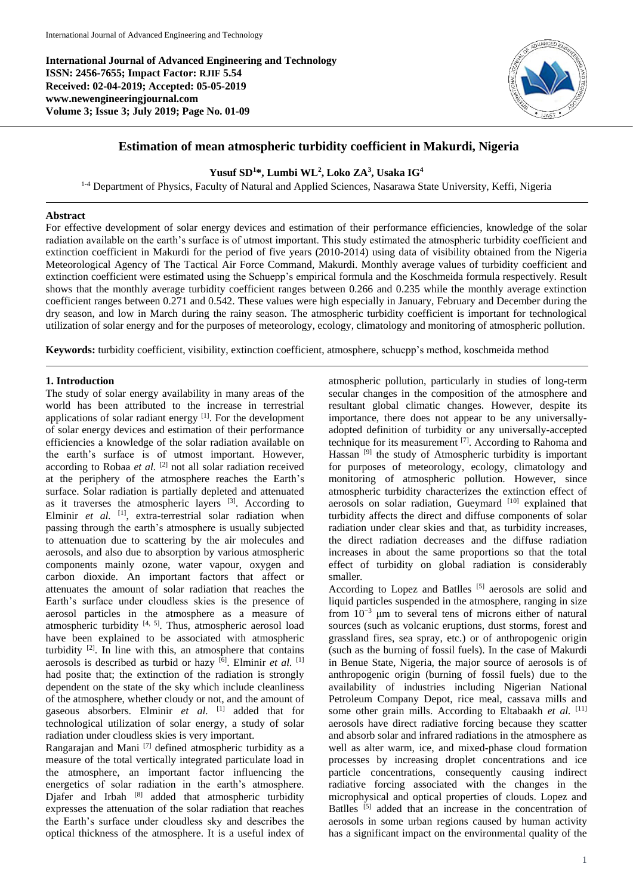**International Journal of Advanced Engineering and Technology ISSN: 2456-7655; Impact Factor: RJIF 5.54 Received: 02-04-2019; Accepted: 05-05-2019 www.newengineeringjournal.com Volume 3; Issue 3; July 2019; Page No. 01-09**



## **Estimation of mean atmospheric turbidity coefficient in Makurdi, Nigeria**

## **Yusuf SD<sup>1</sup>\*, Lumbi WL 2 , Loko ZA<sup>3</sup> , Usaka IG<sup>4</sup>**

<sup>1-4</sup> Department of Physics, Faculty of Natural and Applied Sciences, Nasarawa State University, Keffi, Nigeria

### **Abstract**

For effective development of solar energy devices and estimation of their performance efficiencies, knowledge of the solar radiation available on the earth's surface is of utmost important. This study estimated the atmospheric turbidity coefficient and extinction coefficient in Makurdi for the period of five years (2010-2014) using data of visibility obtained from the Nigeria Meteorological Agency of The Tactical Air Force Command, Makurdi. Monthly average values of turbidity coefficient and extinction coefficient were estimated using the Schuepp's empirical formula and the Koschmeida formula respectively. Result shows that the monthly average turbidity coefficient ranges between 0.266 and 0.235 while the monthly average extinction coefficient ranges between 0.271 and 0.542. These values were high especially in January, February and December during the dry season, and low in March during the rainy season. The atmospheric turbidity coefficient is important for technological utilization of solar energy and for the purposes of meteorology, ecology, climatology and monitoring of atmospheric pollution.

**Keywords:** turbidity coefficient, visibility, extinction coefficient, atmosphere, schuepp's method, koschmeida method

### **1. Introduction**

The study of solar energy availability in many areas of the world has been attributed to the increase in terrestrial applications of solar radiant energy  $[1]$ . For the development of solar energy devices and estimation of their performance efficiencies a knowledge of the solar radiation available on the earth's surface is of utmost important. However, according to Robaa et al. <sup>[2]</sup> not all solar radiation received at the periphery of the atmosphere reaches the Earth's surface. Solar radiation is partially depleted and attenuated as it traverses the atmospheric layers  $[3]$ . According to Elminir et al. <sup>[1]</sup>, extra-terrestrial solar radiation when passing through the earth's atmosphere is usually subjected to attenuation due to scattering by the air molecules and aerosols, and also due to absorption by various atmospheric components mainly ozone, water vapour, oxygen and carbon dioxide. An important factors that affect or attenuates the amount of solar radiation that reaches the Earth's surface under cloudless skies is the presence of aerosol particles in the atmosphere as a measure of atmospheric turbidity [4, 5]. Thus, atmospheric aerosol load have been explained to be associated with atmospheric turbidity  $[2]$ . In line with this, an atmosphere that contains aerosols is described as turbid or hazy <sup>[6]</sup>. Elminir *et al.* [1] had posite that; the extinction of the radiation is strongly dependent on the state of the sky which include cleanliness of the atmosphere, whether cloudy or not, and the amount of gaseous absorbers. Elminir et al. [1] added that for technological utilization of solar energy, a study of solar radiation under cloudless skies is very important.

Rangarajan and Mani [7] defined atmospheric turbidity as a measure of the total vertically integrated particulate load in the atmosphere, an important factor influencing the energetics of solar radiation in the earth's atmosphere. Djafer and Irbah [8] added that atmospheric turbidity expresses the attenuation of the solar radiation that reaches the Earth's surface under cloudless sky and describes the optical thickness of the atmosphere. It is a useful index of

atmospheric pollution, particularly in studies of long-term secular changes in the composition of the atmosphere and resultant global climatic changes. However, despite its importance, there does not appear to be any universallyadopted definition of turbidity or any universally-accepted technique for its measurement [7] . According to Rahoma and Hassan [9] the study of Atmospheric turbidity is important for purposes of meteorology, ecology, climatology and monitoring of atmospheric pollution. However, since atmospheric turbidity characterizes the extinction effect of aerosols on solar radiation, Gueymard [10] explained that turbidity affects the direct and diffuse components of solar radiation under clear skies and that, as turbidity increases, the direct radiation decreases and the diffuse radiation increases in about the same proportions so that the total effect of turbidity on global radiation is considerably smaller.

According to Lopez and Batlles<sup>[5]</sup> aerosols are solid and liquid particles suspended in the atmosphere, ranging in size from 10−3 μm to several tens of microns either of natural sources (such as volcanic eruptions, dust storms, forest and grassland fires, sea spray, etc.) or of anthropogenic origin (such as the burning of fossil fuels). In the case of Makurdi in Benue State, Nigeria, the major source of aerosols is of anthropogenic origin (burning of fossil fuels) due to the availability of industries including Nigerian National Petroleum Company Depot, rice meal, cassava mills and some other grain mills. According to Eltabaakh *et al.* [11] aerosols have direct radiative forcing because they scatter and absorb solar and infrared radiations in the atmosphere as well as alter warm, ice, and mixed-phase cloud formation processes by increasing droplet concentrations and ice particle concentrations, consequently causing indirect radiative forcing associated with the changes in the microphysical and optical properties of clouds. Lopez and Batlles <sup>[5]</sup> added that an increase in the concentration of aerosols in some urban regions caused by human activity has a significant impact on the environmental quality of the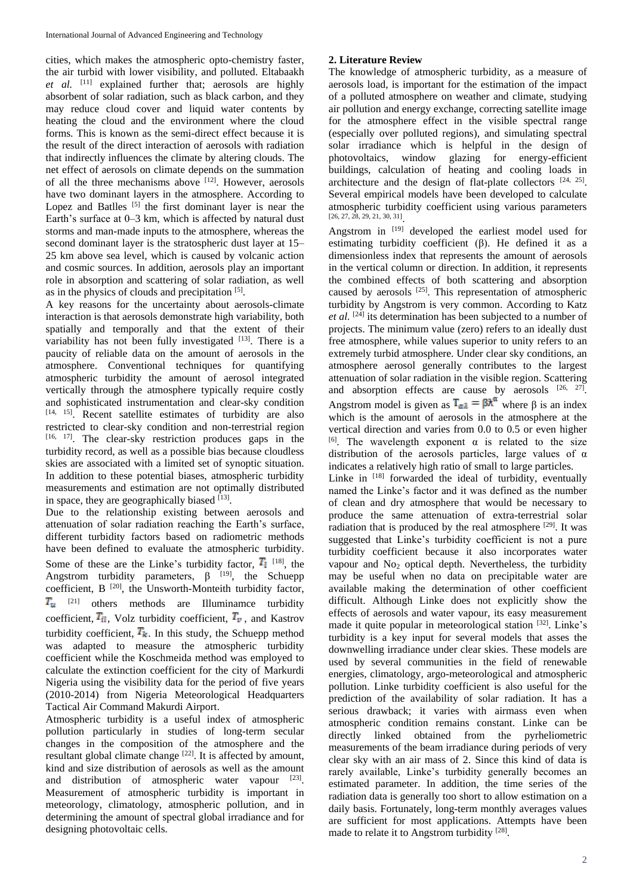cities, which makes the atmospheric opto-chemistry faster, the air turbid with lower visibility, and polluted. Eltabaakh *et al.* [11] explained further that; aerosols are highly absorbent of solar radiation, such as black carbon, and they may reduce cloud cover and liquid water contents by heating the cloud and the environment where the cloud forms. This is known as the semi-direct effect because it is the result of the direct interaction of aerosols with radiation that indirectly influences the climate by altering clouds. The net effect of aerosols on climate depends on the summation of all the three mechanisms above [12]. However, aerosols have two dominant layers in the atmosphere. According to Lopez and Batlles  $\begin{bmatrix} 5 \end{bmatrix}$  the first dominant layer is near the Earth's surface at 0–3 km, which is affected by natural dust storms and man-made inputs to the atmosphere, whereas the second dominant layer is the stratospheric dust layer at 15– 25 km above sea level, which is caused by volcanic action and cosmic sources. In addition, aerosols play an important role in absorption and scattering of solar radiation, as well as in the physics of clouds and precipitation [5].

A key reasons for the uncertainty about aerosols-climate interaction is that aerosols demonstrate high variability, both spatially and temporally and that the extent of their variability has not been fully investigated  $[13]$ . There is a paucity of reliable data on the amount of aerosols in the atmosphere. Conventional techniques for quantifying atmospheric turbidity the amount of aerosol integrated vertically through the atmosphere typically require costly and sophisticated instrumentation and clear-sky condition [14, 15]. Recent satellite estimates of turbidity are also restricted to clear-sky condition and non-terrestrial region [16, 17]. The clear-sky restriction produces gaps in the turbidity record, as well as a possible bias because cloudless skies are associated with a limited set of synoptic situation. In addition to these potential biases, atmospheric turbidity measurements and estimation are not optimally distributed in space, they are geographically biased [13].

Due to the relationship existing between aerosols and attenuation of solar radiation reaching the Earth's surface, different turbidity factors based on radiometric methods have been defined to evaluate the atmospheric turbidity. Some of these are the Linke's turbidity factor,  $\overline{T}_1$  <sup>[18]</sup>, the Angstrom turbidity parameters,  $\beta$  [19], the Schuepp coefficient,  $B^{[20]}$ , the Unsworth-Monteith turbidity factor,  $T_u$  <sup>[21]</sup> others methods are Illuminamce turbidity coefficient,  $T_{il}$ , Volz turbidity coefficient,  $T_{\nu}$ , and Kastrov turbidity coefficient,  $T_k$ . In this study, the Schuepp method was adapted to measure the atmospheric turbidity coefficient while the Koschmeida method was employed to calculate the extinction coefficient for the city of Markurdi Nigeria using the visibility data for the period of five years (2010-2014) from Nigeria Meteorological Headquarters Tactical Air Command Makurdi Airport.

Atmospheric turbidity is a useful index of atmospheric pollution particularly in studies of long-term secular changes in the composition of the atmosphere and the resultant global climate change [22]. It is affected by amount, kind and size distribution of aerosols as well as the amount and distribution of atmospheric water vapour [23]. Measurement of atmospheric turbidity is important in meteorology, climatology, atmospheric pollution, and in determining the amount of spectral global irradiance and for designing photovoltaic cells.

# **2. Literature Review**

The knowledge of atmospheric turbidity, as a measure of aerosols load, is important for the estimation of the impact of a polluted atmosphere on weather and climate, studying air pollution and energy exchange, correcting satellite image for the atmosphere effect in the visible spectral range (especially over polluted regions), and simulating spectral solar irradiance which is helpful in the design of photovoltaics, window glazing for energy-efficient buildings, calculation of heating and cooling loads in architecture and the design of flat-plate collectors  $[24, 25]$ . Several empirical models have been developed to calculate atmospheric turbidity coefficient using various parameters [26, 27, 28, 29, 21, 30, 31] .

Angstrom in [19] developed the earliest model used for estimating turbidity coefficient  $(\beta)$ . He defined it as a dimensionless index that represents the amount of aerosols in the vertical column or direction. In addition, it represents the combined effects of both scattering and absorption caused by aerosols [25]. This representation of atmospheric turbidity by Angstrom is very common. According to Katz *et al.* [24] its determination has been subjected to a number of projects. The minimum value (zero) refers to an ideally dust free atmosphere, while values superior to unity refers to an extremely turbid atmosphere. Under clear sky conditions, an atmosphere aerosol generally contributes to the largest attenuation of solar radiation in the visible region. Scattering and absorption effects are cause by aerosols  $[26, 27]$ . Angstrom model is given as  $T_{\alpha\lambda} = \beta \lambda^{\alpha}$  where  $\beta$  is an index which is the amount of aerosols in the atmosphere at the vertical direction and varies from 0.0 to 0.5 or even higher <sup>[6]</sup>. The wavelength exponent  $\alpha$  is related to the size distribution of the aerosols particles, large values of α indicates a relatively high ratio of small to large particles.

Linke in [18] forwarded the ideal of turbidity, eventually named the Linke's factor and it was defined as the number of clean and dry atmosphere that would be necessary to produce the same attenuation of extra-terrestrial solar radiation that is produced by the real atmosphere [29]. It was suggested that Linke's turbidity coefficient is not a pure turbidity coefficient because it also incorporates water vapour and No<sub>2</sub> optical depth. Nevertheless, the turbidity may be useful when no data on precipitable water are available making the determination of other coefficient difficult. Although Linke does not explicitly show the effects of aerosols and water vapour, its easy measurement made it quite popular in meteorological station <sup>[32]</sup>. Linke's turbidity is a key input for several models that asses the downwelling irradiance under clear skies. These models are used by several communities in the field of renewable energies, climatology, argo-meteorological and atmospheric pollution. Linke turbidity coefficient is also useful for the prediction of the availability of solar radiation. It has a serious drawback; it varies with airmass even when atmospheric condition remains constant. Linke can be directly linked obtained from the pyrheliometric measurements of the beam irradiance during periods of very clear sky with an air mass of 2. Since this kind of data is rarely available, Linke's turbidity generally becomes an estimated parameter. In addition, the time series of the radiation data is generally too short to allow estimation on a daily basis. Fortunately, long-term monthly averages values are sufficient for most applications. Attempts have been made to relate it to Angstrom turbidity [28].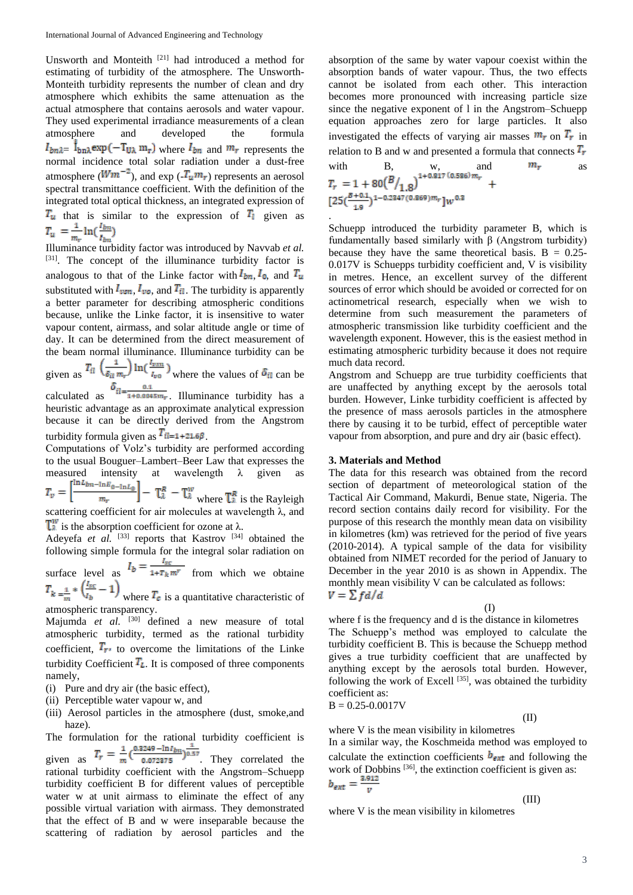Unsworth and Monteith [21] had introduced a method for estimating of turbidity of the atmosphere. The Unsworth-Monteith turbidity represents the number of clean and dry atmosphere which exhibits the same attenuation as the actual atmosphere that contains aerosols and water vapour. They used experimental irradiance measurements of a clean atmosphere and developed the formula  $I_{bn\lambda} = \dot{I}_{bn\lambda} \exp(-T_{U\lambda} m_r)$  where  $I_{bn}$  and  $m_r$  represents the normal incidence total solar radiation under a dust-free atmosphere ( $Wm^{-2}$ ), and exp ( $\overline{I_u m_r}$ ) represents an aerosol spectral transmittance coefficient. With the definition of the integrated total optical thickness, an integrated expression of  $T_u$  that is similar to the expression of  $T_l$  given as  $T_u = \frac{1}{m_r} \ln(\frac{l_{bm}}{l_{bm}})$ 

Illuminance turbidity factor was introduced by Navvab *et al.* [31]. The concept of the illuminance turbidity factor is analogous to that of the Linke factor with  $I_{bn}$ ,  $I_0$ , and  $T_u$ substituted with  $I_{\nu s n}$ ,  $I_{\nu o}$ , and  $T_{il}$ . The turbidity is apparently a better parameter for describing atmospheric conditions because, unlike the Linke factor, it is insensitive to water vapour content, airmass, and solar altitude angle or time of day. It can be determined from the direct measurement of the beam normal illuminance. Illuminance turbidity can be

given as  $\frac{u}{u} \frac{\delta_{il} m_r}{\delta u}$   $\frac{v_{\text{no}}}{\delta u}$  where the values of  $\delta_{il}$  can be

calculated as  $\frac{12}{1+0.0045m}$ . Illuminance turbidity has a heuristic advantage as an approximate analytical expression because it can be directly derived from the Angstrom turbidity formula given as  $T_{il=1+21.6\beta}$ .

Computations of Volz's turbidity are performed according to the usual Bouguer–Lambert–Beer Law that expresses the measured intensity at wavelength  $\lambda$  given as  $T_v = \left[\frac{\ln L_{bn - \ln E_{0 - \ln L_0}}}{m_r}\right] - \frac{\pi^R}{\ln L} - \frac{\pi^W}{\ln L}$  where  $\frac{\pi^R}{\ln L}$  is the Rayleigh scattering coefficient for air molecules at wavelength λ, and  $\mathbb{T}_4^W$  is the absorption coefficient for ozone at  $\lambda$ .

Adeyefa *et al.* <sup>[33]</sup> reports that Kastrov <sup>[34]</sup> obtained the following simple formula for the integral solar radiation on

surface level as  $\frac{p}{r}$   $\frac{1 + T_k m^r}{r}$  from which we obtaine

where  $T_c$  is a quantitative characteristic of atmospheric transparency.

Majumda *et al.* [30] defined a new measure of total atmospheric turbidity, termed as the rational turbidity coefficient.  $T_{r}$  to overcome the limitations of the Linke turbidity Coefficient  $T_L$ . It is composed of three components namely,

- (i) Pure and dry air (the basic effect),
- (ii) Perceptible water vapour w, and
- (iii) Aerosol particles in the atmosphere (dust, smoke,and haze).

The formulation for the rational turbidity coefficient is given as  $T_r = \frac{1}{m} \left( \frac{0.3249 - \ln l_{bn}}{0.072375} \right)^{\frac{1}{0.57}}$ . They correlated the

rational turbidity coefficient with the Angstrom–Schuepp turbidity coefficient B for different values of perceptible water w at unit airmass to eliminate the effect of any possible virtual variation with airmass. They demonstrated that the effect of B and w were inseparable because the scattering of radiation by aerosol particles and the

absorption of the same by water vapour coexist within the absorption bands of water vapour. Thus, the two effects cannot be isolated from each other. This interaction becomes more pronounced with increasing particle size since the negative exponent of l in the Angstrom–Schuepp equation approaches zero for large particles. It also investigated the effects of varying air masses  $m_r$  on  $T_r$  in relation to B and w and presented a formula that connects  $T_r$ 

with B, w, and 
$$
m_r
$$
 as  
\n
$$
T_r = 1 + 80 \left(\frac{B}{1.8}\right)^{1 + 0.817 (0.586) m_r} +
$$
\n
$$
[25 \left(\frac{B + 0.1}{1.9}\right)^{1 - 0.2347 (0.869) m_r}] w^{0.3}
$$

Schuepp introduced the turbidity parameter B, which is fundamentally based similarly with β (Angstrom turbidity) because they have the same theoretical basis.  $B = 0.25$ -0.017V is Schuepps turbidity coefficient and, V is visibility in metres. Hence, an excellent survey of the different sources of error which should be avoided or corrected for on actinometrical research, especially when we wish to determine from such measurement the parameters of atmospheric transmission like turbidity coefficient and the wavelength exponent. However, this is the easiest method in estimating atmospheric turbidity because it does not require much data record.

Angstrom and Schuepp are true turbidity coefficients that are unaffected by anything except by the aerosols total burden. However, Linke turbidity coefficient is affected by the presence of mass aerosols particles in the atmosphere there by causing it to be turbid, effect of perceptible water vapour from absorption, and pure and dry air (basic effect).

### **3. Materials and Method**

The data for this research was obtained from the record section of department of meteorological station of the Tactical Air Command, Makurdi, Benue state, Nigeria. The record section contains daily record for visibility. For the purpose of this research the monthly mean data on visibility in kilometres (km) was retrieved for the period of five years (2010-2014). A typical sample of the data for visibility obtained from NIMET recorded for the period of January to December in the year 2010 is as shown in Appendix. The monthly mean visibility V can be calculated as follows:  $V = \sum f d/d$ 

(I)

where f is the frequency and d is the distance in kilometres The Schuepp's method was employed to calculate the turbidity coefficient B. This is because the Schuepp method gives a true turbidity coefficient that are unaffected by anything except by the aerosols total burden. However, following the work of Excell  $[35]$ , was obtained the turbidity coefficient as:  $B = 0.25 - 0.0017V$ 

$$
\mathrm{(II)}\qquad \qquad (\mathrm{II})
$$

where V is the mean visibility in kilometres

In a similar way, the Koschmeida method was employed to calculate the extinction coefficients  $\mathbf{b}_{\text{ext}}$  and following the work of Dobbins <sup>[36]</sup>, the extinction coefficient is given as:<br> $b_{ext} = \frac{3.912}{v}$ 

where V is the mean visibility in kilometres

(III)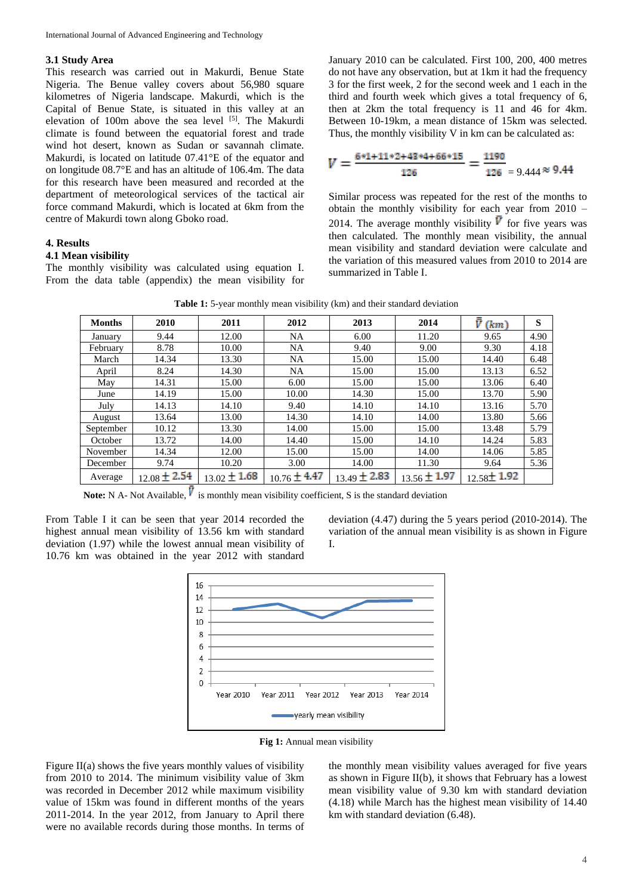### **3.1 Study Area**

This research was carried out in Makurdi, Benue State Nigeria. The Benue valley covers about 56,980 square kilometres of Nigeria landscape. Makurdi, which is the Capital of Benue State, is situated in this valley at an elevation of 100m above the sea level [5]. The Makurdi climate is found between the equatorial forest and trade wind hot desert, known as Sudan or savannah climate. Makurdi, is located on latitude 07.41°E of the equator and on longitude 08.7°E and has an altitude of 106.4m. The data for this research have been measured and recorded at the department of meteorological services of the tactical air force command Makurdi, which is located at 6km from the centre of Makurdi town along Gboko road.

#### **4. Results**

#### **4.1 Mean visibility**

The monthly visibility was calculated using equation I. From the data table (appendix) the mean visibility for January 2010 can be calculated. First 100, 200, 400 metres do not have any observation, but at 1km it had the frequency 3 for the first week, 2 for the second week and 1 each in the third and fourth week which gives a total frequency of 6, then at 2km the total frequency is 11 and 46 for 4km. Between 10-19km, a mean distance of 15km was selected. Thus, the monthly visibility V in km can be calculated as:

$$
V = \frac{6*1+11*2+43*4+66*15}{126} = \frac{1190}{126} = 9.444 \approx 9.44
$$

Similar process was repeated for the rest of the months to obtain the monthly visibility for each year from 2010 – 2014. The average monthly visibility  $\overline{V}$  for five years was then calculated. The monthly mean visibility, the annual mean visibility and standard deviation were calculate and the variation of this measured values from 2010 to 2014 are summarized in Table I.

| <b>Table 1:</b> 5-year monthly mean visibility (km) and their standard deviation |
|----------------------------------------------------------------------------------|
|----------------------------------------------------------------------------------|

| <b>Months</b> | 2010             | 2011             | 2012             | 2013             | 2014             | ū<br>(km)        | S    |
|---------------|------------------|------------------|------------------|------------------|------------------|------------------|------|
| January       | 9.44             | 12.00            | <b>NA</b>        | 6.00             | 11.20            | 9.65             | 4.90 |
| February      | 8.78             | 10.00            | <b>NA</b>        | 9.40             | 9.00             | 9.30             | 4.18 |
| March         | 14.34            | 13.30            | NA               | 15.00            | 15.00            | 14.40            | 6.48 |
| April         | 8.24             | 14.30            | <b>NA</b>        | 15.00            | 15.00            | 13.13            | 6.52 |
| May           | 14.31            | 15.00            | 6.00             | 15.00            | 15.00            | 13.06            | 6.40 |
| June          | 14.19            | 15.00            | 10.00            | 14.30            | 15.00            | 13.70            | 5.90 |
| July          | 14.13            | 14.10            | 9.40             | 14.10            | 14.10            | 13.16            | 5.70 |
| August        | 13.64            | 13.00            | 14.30            | 14.10            | 14.00            | 13.80            | 5.66 |
| September     | 10.12            | 13.30            | 14.00            | 15.00            | 15.00            | 13.48            | 5.79 |
| October       | 13.72            | 14.00            | 14.40            | 15.00            | 14.10            | 14.24            | 5.83 |
| November      | 14.34            | 12.00            | 15.00            | 15.00            | 14.00            | 14.06            | 5.85 |
| December      | 9.74             | 10.20            | 3.00             | 14.00            | 11.30            | 9.64             | 5.36 |
| Average       | $12.08 \pm 2.54$ | $13.02 \pm 1.68$ | $10.76 \pm 4.47$ | $13.49 \pm 2.83$ | $13.56 \pm 1.97$ | $12.58 \pm 1.92$ |      |

**Note:** N A- Not Available,  $\overline{V}$  is monthly mean visibility coefficient, S is the standard deviation

From Table I it can be seen that year 2014 recorded the highest annual mean visibility of 13.56 km with standard deviation (1.97) while the lowest annual mean visibility of 10.76 km was obtained in the year 2012 with standard

deviation (4.47) during the 5 years period (2010-2014). The variation of the annual mean visibility is as shown in Figure I.



**Fig 1:** Annual mean visibility

Figure II(a) shows the five years monthly values of visibility from 2010 to 2014. The minimum visibility value of 3km was recorded in December 2012 while maximum visibility value of 15km was found in different months of the years 2011-2014. In the year 2012, from January to April there were no available records during those months. In terms of

the monthly mean visibility values averaged for five years as shown in Figure II(b), it shows that February has a lowest mean visibility value of 9.30 km with standard deviation (4.18) while March has the highest mean visibility of 14.40 km with standard deviation (6.48).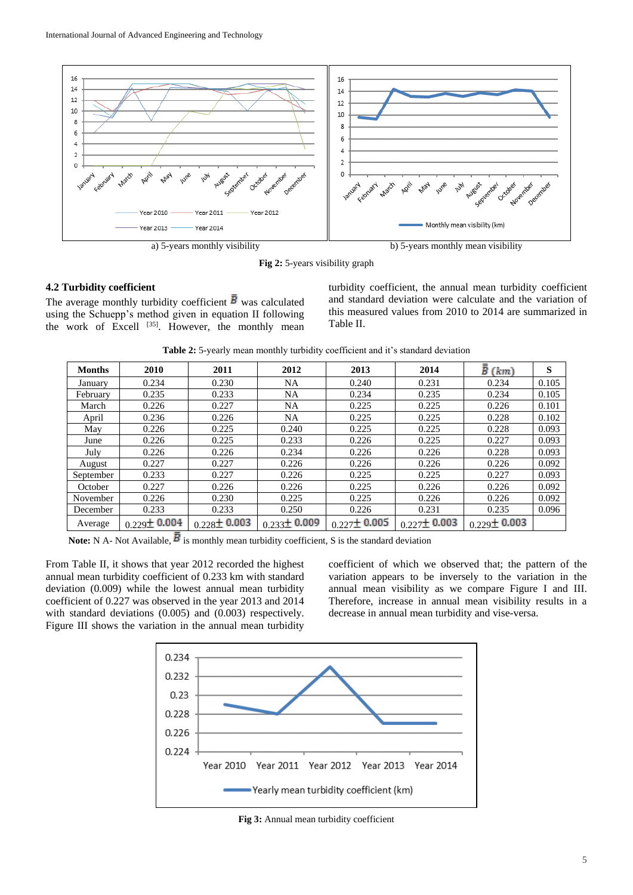

**Fig 2:** 5-years visibility graph

## **4.2 Turbidity coefficient**

The average monthly turbidity coefficient  $\bar{B}$  was calculated using the Schuepp's method given in equation II following the work of Excell  $^{[35]}$ . However, the monthly mean turbidity coefficient, the annual mean turbidity coefficient and standard deviation were calculate and the variation of this measured values from 2010 to 2014 are summarized in Table II.

| <b>Table 2:</b> 5-yearly mean monthly turbidity coefficient and it's standard deviation |  |  |  |  |
|-----------------------------------------------------------------------------------------|--|--|--|--|
|-----------------------------------------------------------------------------------------|--|--|--|--|

| <b>Months</b> | 2010              | 2011              | 2012              | 2013              | 2014              | $\bar{\bar{B}}$ (km) | S     |
|---------------|-------------------|-------------------|-------------------|-------------------|-------------------|----------------------|-------|
| January       | 0.234             | 0.230             | NA                | 0.240             | 0.231             | 0.234                | 0.105 |
| February      | 0.235             | 0.233             | NA                | 0.234             | 0.235             | 0.234                | 0.105 |
| March         | 0.226             | 0.227             | NA                | 0.225             | 0.225             | 0.226                | 0.101 |
| April         | 0.236             | 0.226             | NA                | 0.225             | 0.225             | 0.228                | 0.102 |
| May           | 0.226             | 0.225             | 0.240             | 0.225             | 0.225             | 0.228                | 0.093 |
| June          | 0.226             | 0.225             | 0.233             | 0.226             | 0.225             | 0.227                | 0.093 |
| July          | 0.226             | 0.226             | 0.234             | 0.226             | 0.226             | 0.228                | 0.093 |
| August        | 0.227             | 0.227             | 0.226             | 0.226             | 0.226             | 0.226                | 0.092 |
| September     | 0.233             | 0.227             | 0.226             | 0.225             | 0.225             | 0.227                | 0.093 |
| October       | 0.227             | 0.226             | 0.226             | 0.225             | 0.226             | 0.226                | 0.092 |
| November      | 0.226             | 0.230             | 0.225             | 0.225             | 0.226             | 0.226                | 0.092 |
| December      | 0.233             | 0.233             | 0.250             | 0.226             | 0.231             | 0.235                | 0.096 |
| Average       | $0.229 \pm 0.004$ | $0.228 \pm 0.003$ | $0.233 \pm 0.009$ | $0.227 \pm 0.005$ | $0.227 \pm 0.003$ | $0.229 \pm 0.003$    |       |

**Note:** N A- Not Available,  $\overline{B}$  is monthly mean turbidity coefficient, S is the standard deviation

From Table II, it shows that year 2012 recorded the highest annual mean turbidity coefficient of 0.233 km with standard deviation (0.009) while the lowest annual mean turbidity coefficient of 0.227 was observed in the year 2013 and 2014 with standard deviations (0.005) and (0.003) respectively. Figure III shows the variation in the annual mean turbidity

coefficient of which we observed that; the pattern of the variation appears to be inversely to the variation in the annual mean visibility as we compare Figure I and III. Therefore, increase in annual mean visibility results in a decrease in annual mean turbidity and vise-versa.



**Fig 3:** Annual mean turbidity coefficient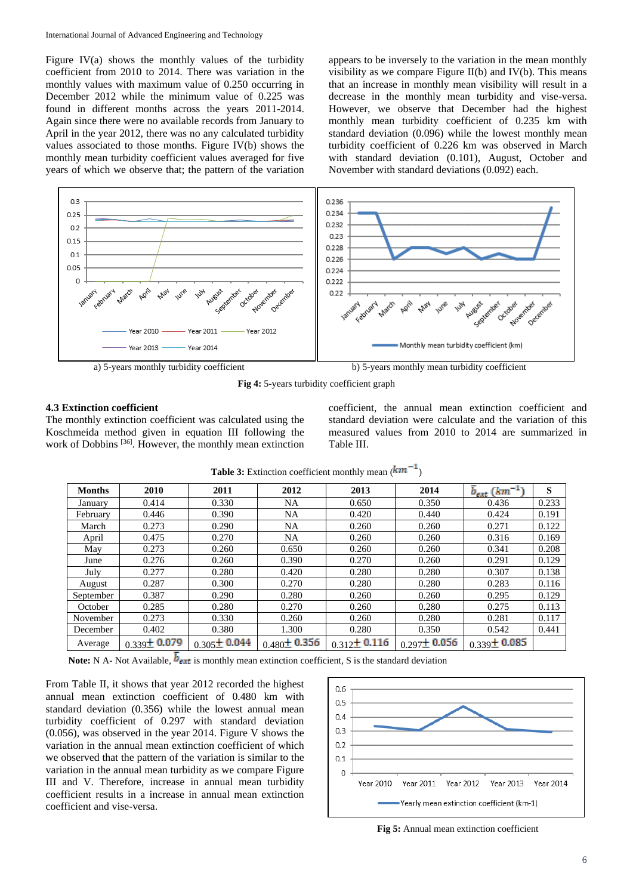Figure IV(a) shows the monthly values of the turbidity coefficient from 2010 to 2014. There was variation in the monthly values with maximum value of 0.250 occurring in December 2012 while the minimum value of 0.225 was found in different months across the years 2011-2014. Again since there were no available records from January to April in the year 2012, there was no any calculated turbidity values associated to those months. Figure IV(b) shows the monthly mean turbidity coefficient values averaged for five years of which we observe that; the pattern of the variation

appears to be inversely to the variation in the mean monthly visibility as we compare Figure II(b) and IV(b). This means that an increase in monthly mean visibility will result in a decrease in the monthly mean turbidity and vise-versa. However, we observe that December had the highest monthly mean turbidity coefficient of 0.235 km with standard deviation (0.096) while the lowest monthly mean turbidity coefficient of 0.226 km was observed in March with standard deviation (0.101), August, October and November with standard deviations (0.092) each.



**Fig 4:** 5-years turbidity coefficient graph

### **4.3 Extinction coefficient**

The monthly extinction coefficient was calculated using the Koschmeida method given in equation III following the work of Dobbins [36]. However, the monthly mean extinction

coefficient, the annual mean extinction coefficient and standard deviation were calculate and the variation of this measured values from 2010 to 2014 are summarized in Table III.

| <b>Months</b> | 2010              | 2011              | 2012              | 2013              | 2014              | $\overline{b}_{ext}$ (km <sup>-1</sup> ) | S     |
|---------------|-------------------|-------------------|-------------------|-------------------|-------------------|------------------------------------------|-------|
| January       | 0.414             | 0.330             | <b>NA</b>         | 0.650             | 0.350             | 0.436                                    | 0.233 |
| February      | 0.446             | 0.390             | NA                | 0.420             | 0.440             | 0.424                                    | 0.191 |
| March         | 0.273             | 0.290             | <b>NA</b>         | 0.260             | 0.260             | 0.271                                    | 0.122 |
| April         | 0.475             | 0.270             | NA                | 0.260             | 0.260             | 0.316                                    | 0.169 |
| May           | 0.273             | 0.260             | 0.650             | 0.260             | 0.260             | 0.341                                    | 0.208 |
| June          | 0.276             | 0.260             | 0.390             | 0.270             | 0.260             | 0.291                                    | 0.129 |
| July          | 0.277             | 0.280             | 0.420             | 0.280             | 0.280             | 0.307                                    | 0.138 |
| August        | 0.287             | 0.300             | 0.270             | 0.280             | 0.280             | 0.283                                    | 0.116 |
| September     | 0.387             | 0.290             | 0.280             | 0.260             | 0.260             | 0.295                                    | 0.129 |
| October       | 0.285             | 0.280             | 0.270             | 0.260             | 0.280             | 0.275                                    | 0.113 |
| November      | 0.273             | 0.330             | 0.260             | 0.260             | 0.280             | 0.281                                    | 0.117 |
| December      | 0.402             | 0.380             | 1.300             | 0.280             | 0.350             | 0.542                                    | 0.441 |
| Average       | $0.339 \pm 0.079$ | $0.305 \pm 0.044$ | $0.480 \pm 0.356$ | $0.312 \pm 0.116$ | $0.297 \pm 0.056$ | $0.339 \pm 0.085$                        |       |

| <b>Table 3:</b> Extinction coefficient monthly mean $(km^{-1})$ |  |  |
|-----------------------------------------------------------------|--|--|
|-----------------------------------------------------------------|--|--|

**Note:** N A- Not Available,  $\overline{b}_{ext}$  is monthly mean extinction coefficient, S is the standard deviation

From Table II, it shows that year 2012 recorded the highest annual mean extinction coefficient of 0.480 km with standard deviation (0.356) while the lowest annual mean turbidity coefficient of 0.297 with standard deviation (0.056), was observed in the year 2014. Figure V shows the variation in the annual mean extinction coefficient of which we observed that the pattern of the variation is similar to the variation in the annual mean turbidity as we compare Figure III and V. Therefore, increase in annual mean turbidity coefficient results in a increase in annual mean extinction coefficient and vise-versa.



**Fig 5:** Annual mean extinction coefficient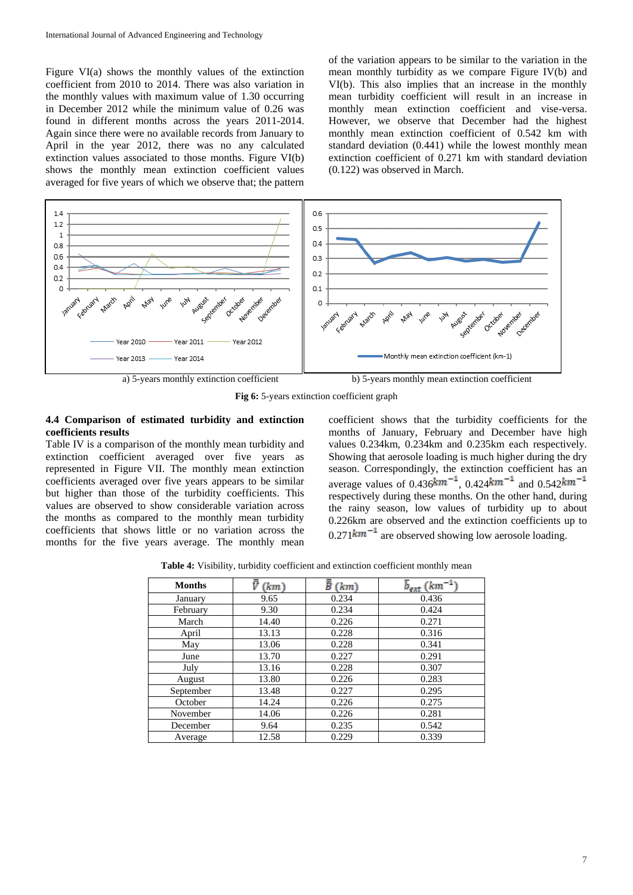Figure VI(a) shows the monthly values of the extinction coefficient from 2010 to 2014. There was also variation in the monthly values with maximum value of 1.30 occurring in December 2012 while the minimum value of 0.26 was found in different months across the years 2011-2014. Again since there were no available records from January to April in the year 2012, there was no any calculated extinction values associated to those months. Figure VI(b) shows the monthly mean extinction coefficient values averaged for five years of which we observe that; the pattern

of the variation appears to be similar to the variation in the mean monthly turbidity as we compare Figure IV(b) and VI(b). This also implies that an increase in the monthly mean turbidity coefficient will result in an increase in monthly mean extinction coefficient and vise-versa. However, we observe that December had the highest monthly mean extinction coefficient of 0.542 km with standard deviation (0.441) while the lowest monthly mean extinction coefficient of 0.271 km with standard deviation (0.122) was observed in March.



**Fig 6:** 5-years extinction coefficient graph

### **4.4 Comparison of estimated turbidity and extinction coefficients results**

Table IV is a comparison of the monthly mean turbidity and extinction coefficient averaged over five years as represented in Figure VII. The monthly mean extinction coefficients averaged over five years appears to be similar but higher than those of the turbidity coefficients. This values are observed to show considerable variation across the months as compared to the monthly mean turbidity coefficients that shows little or no variation across the months for the five years average. The monthly mean

coefficient shows that the turbidity coefficients for the months of January, February and December have high values 0.234km, 0.234km and 0.235km each respectively. Showing that aerosole loading is much higher during the dry season. Correspondingly, the extinction coefficient has an average values of  $0.436 \text{km}^{-1}$ ,  $0.424 \text{km}^{-1}$  and  $0.542 \text{km}^{-1}$ respectively during these months. On the other hand, during the rainy season, low values of turbidity up to about 0.226km are observed and the extinction coefficients up to  $0.271$  km<sup>-1</sup> are observed showing low aerosole loading.

**Table 4:** Visibility, turbidity coefficient and extinction coefficient monthly mean

| <b>Months</b> | (km)  | Ē<br>(km) | $\overline{b}_{ext}$ (km) |
|---------------|-------|-----------|---------------------------|
| January       | 9.65  | 0.234     | 0.436                     |
| February      | 9.30  | 0.234     | 0.424                     |
| March         | 14.40 | 0.226     | 0.271                     |
| April         | 13.13 | 0.228     | 0.316                     |
| May           | 13.06 | 0.228     | 0.341                     |
| June          | 13.70 | 0.227     | 0.291                     |
| July          | 13.16 | 0.228     | 0.307                     |
| August        | 13.80 | 0.226     | 0.283                     |
| September     | 13.48 | 0.227     | 0.295                     |
| October       | 14.24 | 0.226     | 0.275                     |
| November      | 14.06 | 0.226     | 0.281                     |
| December      | 9.64  | 0.235     | 0.542                     |
| Average       | 12.58 | 0.229     | 0.339                     |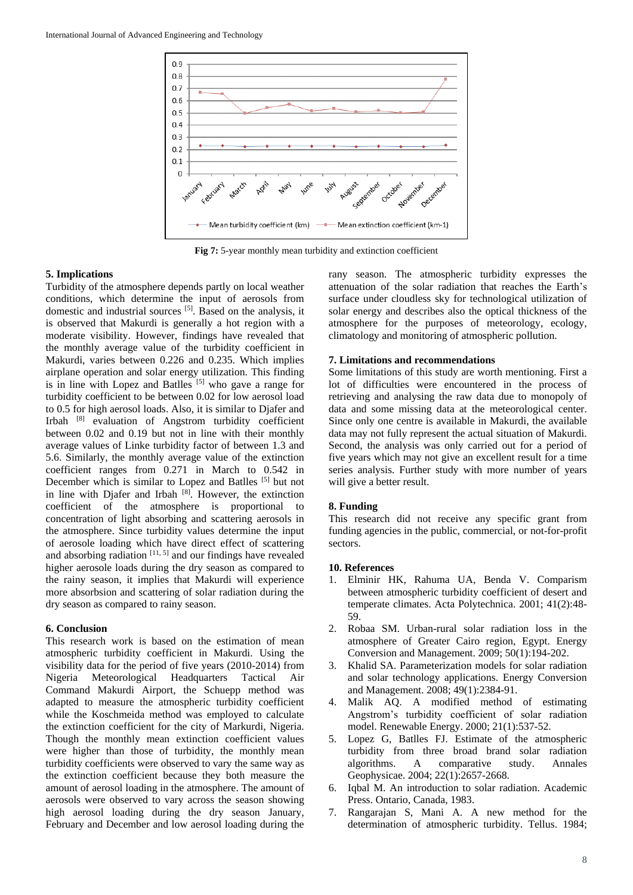

**Fig 7:** 5-year monthly mean turbidity and extinction coefficient

### **5. Implications**

Turbidity of the atmosphere depends partly on local weather conditions, which determine the input of aerosols from domestic and industrial sources [5]. Based on the analysis, it is observed that Makurdi is generally a hot region with a moderate visibility. However, findings have revealed that the monthly average value of the turbidity coefficient in Makurdi, varies between 0.226 and 0.235. Which implies airplane operation and solar energy utilization. This finding is in line with Lopez and Batlles  $[5]$  who gave a range for turbidity coefficient to be between 0.02 for low aerosol load to 0.5 for high aerosol loads. Also, it is similar to Djafer and Irbah [8] evaluation of Angstrom turbidity coefficient between 0.02 and 0.19 but not in line with their monthly average values of Linke turbidity factor of between 1.3 and 5.6. Similarly, the monthly average value of the extinction coefficient ranges from 0.271 in March to 0.542 in December which is similar to Lopez and Batlles [5] but not in line with Djafer and Irbah<sup>[8]</sup>. However, the extinction coefficient of the atmosphere is proportional to concentration of light absorbing and scattering aerosols in the atmosphere. Since turbidity values determine the input of aerosole loading which have direct effect of scattering and absorbing radiation  $[11, 5]$  and our findings have revealed higher aerosole loads during the dry season as compared to the rainy season, it implies that Makurdi will experience more absorbsion and scattering of solar radiation during the dry season as compared to rainy season.

### **6. Conclusion**

This research work is based on the estimation of mean atmospheric turbidity coefficient in Makurdi. Using the visibility data for the period of five years (2010-2014) from Nigeria Meteorological Headquarters Tactical Air Command Makurdi Airport, the Schuepp method was adapted to measure the atmospheric turbidity coefficient while the Koschmeida method was employed to calculate the extinction coefficient for the city of Markurdi, Nigeria. Though the monthly mean extinction coefficient values were higher than those of turbidity, the monthly mean turbidity coefficients were observed to vary the same way as the extinction coefficient because they both measure the amount of aerosol loading in the atmosphere. The amount of aerosols were observed to vary across the season showing high aerosol loading during the dry season January, February and December and low aerosol loading during the

rany season. The atmospheric turbidity expresses the attenuation of the solar radiation that reaches the Earth's surface under cloudless sky for technological utilization of solar energy and describes also the optical thickness of the atmosphere for the purposes of meteorology, ecology, climatology and monitoring of atmospheric pollution.

### **7. Limitations and recommendations**

Some limitations of this study are worth mentioning. First a lot of difficulties were encountered in the process of retrieving and analysing the raw data due to monopoly of data and some missing data at the meteorological center. Since only one centre is available in Makurdi, the available data may not fully represent the actual situation of Makurdi. Second, the analysis was only carried out for a period of five years which may not give an excellent result for a time series analysis. Further study with more number of years will give a better result.

### **8. Funding**

This research did not receive any specific grant from funding agencies in the public, commercial, or not-for-profit sectors.

#### **10. References**

- 1. Elminir HK, Rahuma UA, Benda V. Comparism between atmospheric turbidity coefficient of desert and temperate climates. Acta Polytechnica. 2001; 41(2):48- 59.
- 2. Robaa SM. Urban-rural solar radiation loss in the atmosphere of Greater Cairo region, Egypt. Energy Conversion and Management. 2009; 50(1):194-202.
- 3. Khalid SA. Parameterization models for solar radiation and solar technology applications. Energy Conversion and Management. 2008; 49(1):2384-91.
- 4. Malik AQ. A modified method of estimating Angstrom's turbidity coefficient of solar radiation model. Renewable Energy. 2000; 21(1):537-52.
- 5. Lopez G, Batlles FJ. Estimate of the atmospheric turbidity from three broad brand solar radiation algorithms. A comparative study. Annales Geophysicae. 2004; 22(1):2657-2668.
- 6. Iqbal M. An introduction to solar radiation. Academic Press. Ontario, Canada, 1983.
- 7. Rangarajan S, Mani A. A new method for the determination of atmospheric turbidity. Tellus. 1984;